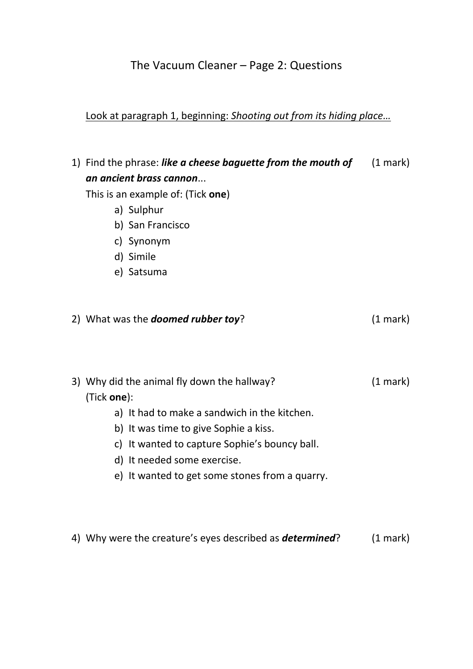## The Vacuum Cleaner – Page 2: Questions

#### Look at paragraph 1, beginning: *Shooting out from its hiding place…*

1) Find the phrase: *like a cheese baguette from the mouth of* (1 mark) *an ancient brass cannon*...

This is an example of: (Tick **one**)

- a) Sulphur
- b) San Francisco
- c) Synonym
- d) Simile
- e) Satsuma

| 2) What was the <b>doomed rubber toy</b> ? | $(1 \text{ mark})$ |
|--------------------------------------------|--------------------|
|                                            |                    |

- 3) Why did the animal fly down the hallway? (1 mark) (Tick **one**):
	- a) It had to make a sandwich in the kitchen.
	- b) It was time to give Sophie a kiss.
	- c) It wanted to capture Sophie's bouncy ball.
	- d) It needed some exercise.
	- e) It wanted to get some stones from a quarry.
- 4) Why were the creature's eyes described as *determined*? (1 mark)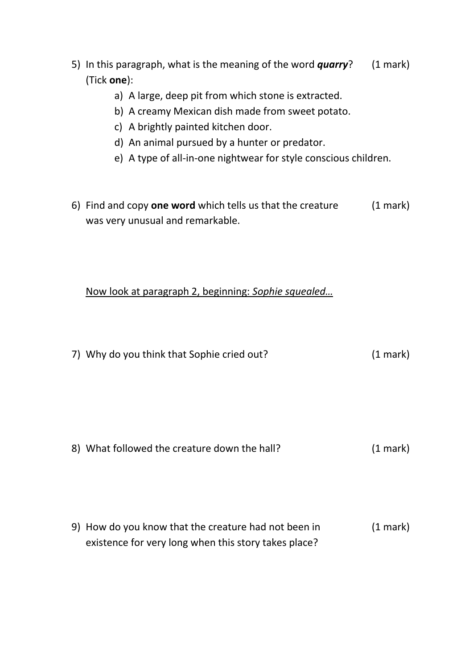- 5) In this paragraph, what is the meaning of the word *quarry*? (1 mark) (Tick **one**):
	- a) A large, deep pit from which stone is extracted.
	- b) A creamy Mexican dish made from sweet potato.
	- c) A brightly painted kitchen door.
	- d) An animal pursued by a hunter or predator.
	- e) A type of all-in-one nightwear for style conscious children.
- 6) Find and copy **one word** which tells us that the creature (1 mark) was very unusual and remarkable.

Now look at paragraph 2, beginning: *Sophie squealed…*

| 7) Why do you think that Sophie cried out?   | $(1 \text{ mark})$ |
|----------------------------------------------|--------------------|
|                                              |                    |
|                                              |                    |
|                                              |                    |
| 8) What followed the creature down the hall? | $(1 \text{ mark})$ |
|                                              |                    |

9) How do you know that the creature had not been in (1 mark) existence for very long when this story takes place?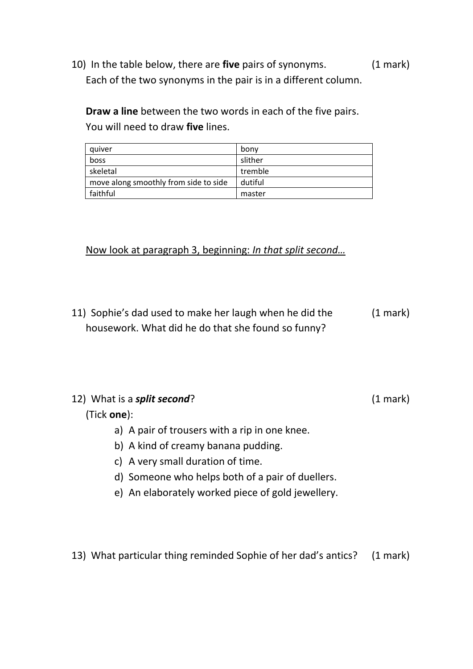10) In the table below, there are **five** pairs of synonyms. (1 mark) Each of the two synonyms in the pair is in a different column.

**Draw a line** between the two words in each of the five pairs. You will need to draw **five** lines.

| quiver                                | bony    |
|---------------------------------------|---------|
| boss                                  | slither |
| skeletal                              | tremble |
| move along smoothly from side to side | dutiful |
| faithful                              | master  |

Now look at paragraph 3, beginning: *In that split second…*

11) Sophie's dad used to make her laugh when he did the (1 mark) housework. What did he do that she found so funny?

| 12) What is a split second?                       | (1 mark) |
|---------------------------------------------------|----------|
| (Tick <b>one</b> ):                               |          |
| a) A pair of trousers with a rip in one knee.     |          |
| b) A kind of creamy banana pudding.               |          |
| c) A very small duration of time.                 |          |
| d) Someone who helps both of a pair of duellers.  |          |
| e) An elaborately worked piece of gold jewellery. |          |

13) What particular thing reminded Sophie of her dad's antics? (1 mark)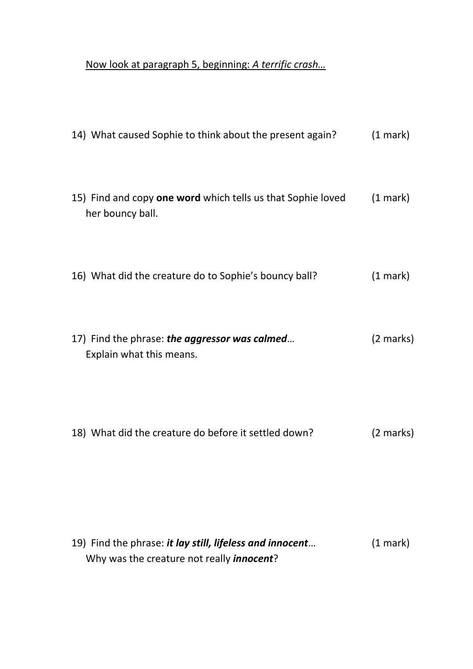## Now look at paragraph 5, beginning: *A terrific crash…*

| 14) What caused Sophie to think about the present again?                        | $(1$ mark)         |
|---------------------------------------------------------------------------------|--------------------|
| 15) Find and copy one word which tells us that Sophie loved<br>her bouncy ball. | $(1 \text{ mark})$ |
| 16) What did the creature do to Sophie's bouncy ball?                           | $(1 \text{ mark})$ |
| 17) Find the phrase: the aggressor was calmed<br>Explain what this means.       | (2 marks)          |
| 18) What did the creature do before it settled down?                            | (2 marks)          |
| $(10)$ Eind the phrase: it lay still lifeless and innocent $(1 \text{ mark})$   |                    |

19) Find the phrase: *it lay still, lifeless and innocent*… (1 mark) Why was the creature not really *innocent*?